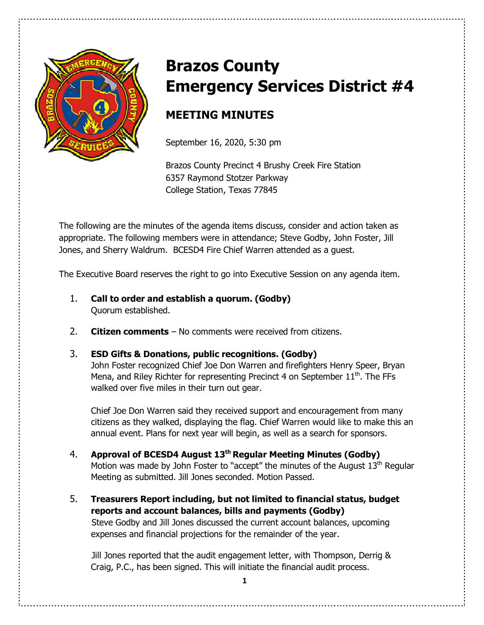

# **Brazos County Emergency Services District #4**

# **MEETING MINUTES**

September 16, 2020, 5:30 pm

Brazos County Precinct 4 Brushy Creek Fire Station 6357 Raymond Stotzer Parkway College Station, Texas 77845

The following are the minutes of the agenda items discuss, consider and action taken as appropriate. The following members were in attendance; Steve Godby, John Foster, Jill Jones, and Sherry Waldrum. BCESD4 Fire Chief Warren attended as a guest.

The Executive Board reserves the right to go into Executive Session on any agenda item.

- 1. **Call to order and establish a quorum. (Godby)**  Quorum established.
- 2. **Citizen comments** No comments were received from citizens.

## 3. **ESD Gifts & Donations, public recognitions. (Godby)**

John Foster recognized Chief Joe Don Warren and firefighters Henry Speer, Bryan Mena, and Riley Richter for representing Precinct 4 on September  $11<sup>th</sup>$ . The FFs walked over five miles in their turn out gear.

Chief Joe Don Warren said they received support and encouragement from many citizens as they walked, displaying the flag. Chief Warren would like to make this an annual event. Plans for next year will begin, as well as a search for sponsors.

- 4. **Approval of BCESD4 August 13th Regular Meeting Minutes (Godby)** Motion was made by John Foster to "accept" the minutes of the August  $13<sup>th</sup>$  Regular Meeting as submitted. Jill Jones seconded. Motion Passed.
- 5. **Treasurers Report including, but not limited to financial status, budget reports and account balances, bills and payments (Godby)**  Steve Godby and Jill Jones discussed the current account balances, upcoming expenses and financial projections for the remainder of the year.

Jill Jones reported that the audit engagement letter, with Thompson, Derrig & Craig, P.C., has been signed. This will initiate the financial audit process.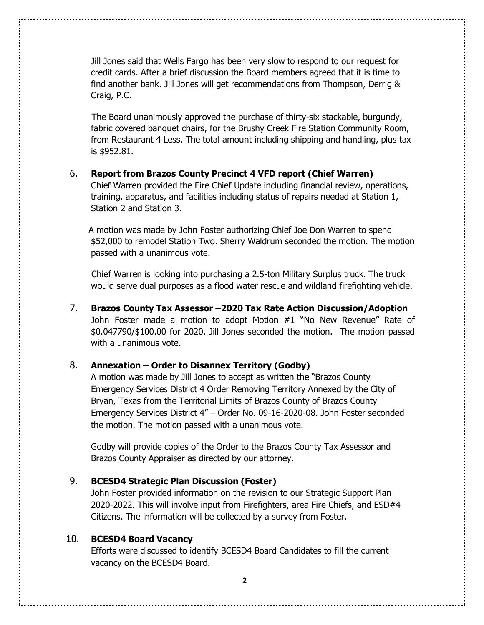Jill Jones said that Wells Fargo has been very slow to respond to our request for credit cards. After a brief discussion the Board members agreed that it is time to find another bank. Jill Jones will get recommendations from Thompson, Derrig & Craig, P.C.

The Board unanimously approved the purchase of thirty-six stackable, burgundy, fabric covered banquet chairs, for the Brushy Creek Fire Station Community Room, from Restaurant 4 Less. The total amount including shipping and handling, plus tax is \$952.81.

#### 6. **Report from Brazos County Precinct 4 VFD report (Chief Warren)**

 Chief Warren provided the Fire Chief Update including financial review, operations, training, apparatus, and facilities including status of repairs needed at Station 1, Station 2 and Station 3.

 A motion was made by John Foster authorizing Chief Joe Don Warren to spend \$52,000 to remodel Station Two. Sherry Waldrum seconded the motion. The motion passed with a unanimous vote.

 Chief Warren is looking into purchasing a 2.5-ton Military Surplus truck. The truck would serve dual purposes as a flood water rescue and wildland firefighting vehicle.

7. **Brazos County Tax Assessor –2020 Tax Rate Action Discussion/Adoption**  John Foster made a motion to adopt Motion #1 "No New Revenue" Rate of \$0.047790/\$100.00 for 2020. Jill Jones seconded the motion. The motion passed with a unanimous vote.

### 8. **Annexation – Order to Disannex Territory (Godby)**

A motion was made by Jill Jones to accept as written the "Brazos County Emergency Services District 4 Order Removing Territory Annexed by the City of Bryan, Texas from the Territorial Limits of Brazos County of Brazos County Emergency Services District 4" – Order No. 09-16-2020-08. John Foster seconded the motion. The motion passed with a unanimous vote.

Godby will provide copies of the Order to the Brazos County Tax Assessor and Brazos County Appraiser as directed by our attorney.

#### 9. **BCESD4 Strategic Plan Discussion (Foster)**

John Foster provided information on the revision to our Strategic Support Plan 2020-2022. This will involve input from Firefighters, area Fire Chiefs, and ESD#4 Citizens. The information will be collected by a survey from Foster.

#### 10. **BCESD4 Board Vacancy**

Efforts were discussed to identify BCESD4 Board Candidates to fill the current vacancy on the BCESD4 Board.